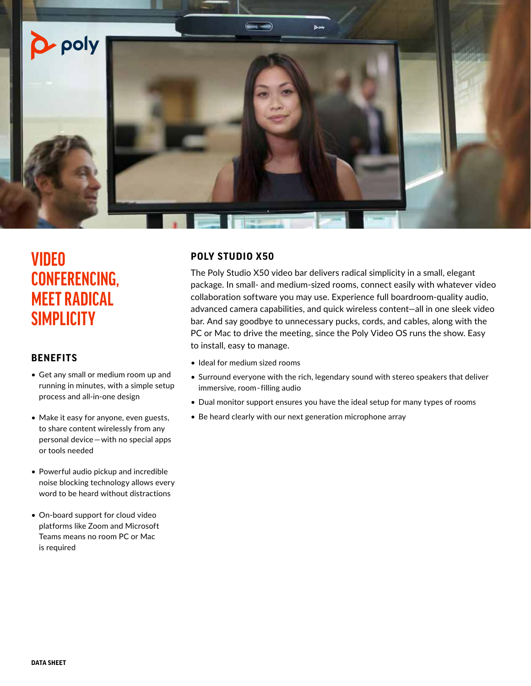

# **VIDEO CONFERENCING, MEET RADICAL SIMPLICITY**

# **BENEFITS**

- Get any small or medium room up and running in minutes, with a simple setup process and all-in-one design
- Make it easy for anyone, even guests, to share content wirelessly from any personal device—with no special apps or tools needed
- Powerful audio pickup and incredible noise blocking technology allows every word to be heard without distractions
- On-board support for cloud video platforms like Zoom and Microsoft Teams means no room PC or Mac is required

# **POLY STUDIO X50**

The Poly Studio X50 video bar delivers radical simplicity in a small, elegant package. In small- and medium-sized rooms, connect easily with whatever video collaboration software you may use. Experience full boardroom-quality audio, advanced camera capabilities, and quick wireless content—all in one sleek video bar. And say goodbye to unnecessary pucks, cords, and cables, along with the PC or Mac to drive the meeting, since the Poly Video OS runs the show. Easy to install, easy to manage.

- Ideal for medium sized rooms
- Surround everyone with the rich, legendary sound with stereo speakers that deliver immersive, room-filling audio
- Dual monitor support ensures you have the ideal setup for many types of rooms
- Be heard clearly with our next generation microphone array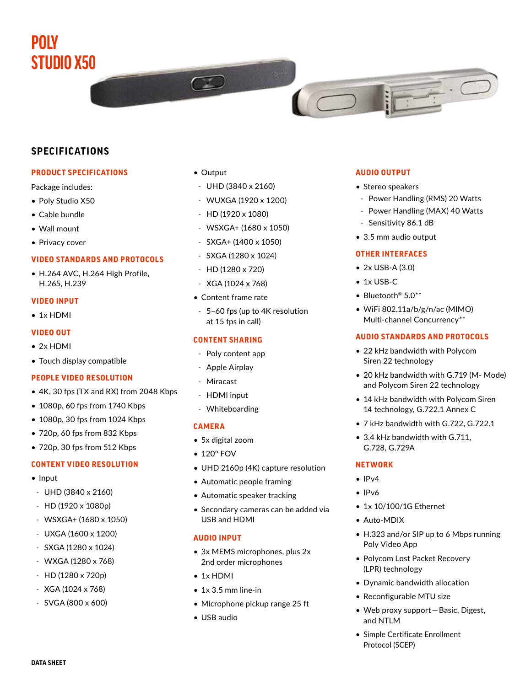# **POLY STUDIO X50**

# **SPECIFICATIONS**

# **PRODUCT SPECIFICATIONS**

Package includes:

- Poly Studio X50
- Cable bundle
- Wall mount
- Privacy cover

# **VIDEO STANDARDS AND PROTOCOLS**

• H.264 AVC, H.264 High Profile, H.265, H.239

### **VIDEO INPUT**

• 1x HDMI

### **VIDEO OUT**

- 2x HDMI
- Touch display compatible

### **PEOPLE VIDEO RESOLUTION**

- 4K, 30 fps (TX and RX) from 2048 Kbps
- 1080p, 60 fps from 1740 Kbps
- 1080p, 30 fps from 1024 Kbps
- 720p, 60 fps from 832 Kbps
- 720p, 30 fps from 512 Kbps

### **CONTENT VIDEO RESOLUTION**

- Input
- UHD (3840 x 2160)
- HD (1920 x 1080p)
- WSXGA+ (1680 x 1050)
- UXGA (1600 x 1200)
- SXGA (1280 x 1024)
- WXGA (1280 x 768)
- HD (1280 x 720p)
- XGA (1024 x 768)
- SVGA (800 x 600)

• Output

 $\sim$ 

- UHD (3840 x 2160)
- WUXGA (1920 x 1200)
- HD (1920 x 1080)
- WSXGA+ (1680 x 1050)
- SXGA+ (1400 x 1050)
- SXGA (1280 x 1024)
- HD (1280 x 720)
- XGA (1024 x 768)
- Content frame rate
- 5–60 fps (up to 4K resolution at 15 fps in call)

# **CONTENT SHARING**

- Poly content app
- Apple Airplay
- Miracast
- HDMI input
- Whiteboarding

### **CAMERA**

- 5x digital zoom
- 120° FOV
- UHD 2160p (4K) capture resolution
- Automatic people framing
- Automatic speaker tracking
- Secondary cameras can be added via USB and HDMI

## **AUDIO INPUT**

- 3x MEMS microphones, plus 2x 2nd order microphones
- 1x HDMI
- 1x 3.5 mm line-in
- Microphone pickup range 25 ft
- USB audio

# **AUDIO OUTPUT**

- Stereo speakers
- Power Handling (RMS) 20 Watts
- Power Handling (MAX) 40 Watts
- Sensitivity 86.1 dB
- 3.5 mm audio output

#### **OTHER INTERFACES**

- 2x USB-A (3.0)
- 1x USB-C
- Bluetooth® 5.0\*\*
- WiFi 802.11a/b/g/n/ac (MIMO) Multi-channel Concurrency\*\*

## **AUDIO STANDARDS AND PROTOCOLS**

- 22 kHz bandwidth with Polycom Siren 22 technology
- 20 kHz bandwidth with G.719 (M- Mode) and Polycom Siren 22 technology
- 14 kHz bandwidth with Polycom Siren 14 technology, G.722.1 Annex C
- 7 kHz bandwidth with G.722, G.722.1
- 3.4 kHz bandwidth with G.711, G.728, G.729A

# **NETWORK**

- $\bullet$  IP<sub>V</sub>4
- IPv6
- 1x 10/100/1G Ethernet
- Auto-MDIX
- H.323 and/or SIP up to 6 Mbps running Poly Video App
- Polycom Lost Packet Recovery (LPR) technology
- Dynamic bandwidth allocation
- Reconfigurable MTU size
- Web proxy support—Basic, Digest, and NTLM
- Simple Certificate Enrollment Protocol (SCEP)